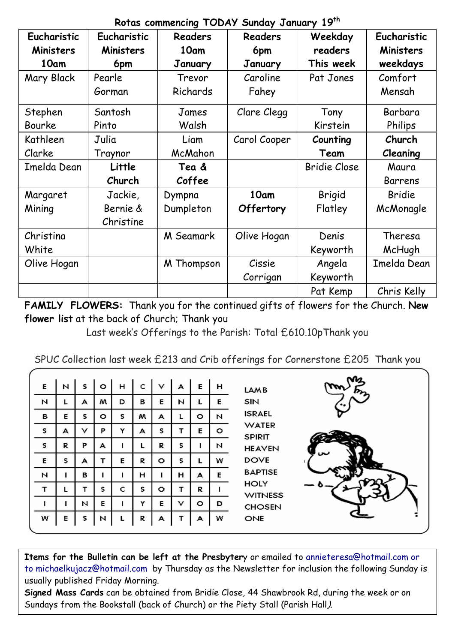|  | Rotas commencing TODAY Sunday January 19th |  |  |  |  |
|--|--------------------------------------------|--|--|--|--|
|--|--------------------------------------------|--|--|--|--|

| Eucharistic | Eucharistic | <b>Readers</b> | verdo commonomy room, canaa, canaar,<br>Readers | Weekday      | Eucharistic   |
|-------------|-------------|----------------|-------------------------------------------------|--------------|---------------|
| Ministers   | Ministers   | 10am           | 6pm                                             | readers      | Ministers     |
| 10am        | 6pm         | January        | January                                         | This week    | weekdays      |
| Mary Black  | Pearle      | Trevor         | Caroline                                        | Pat Jones    | Comfort       |
|             | Gorman      | Richards       | Fahey                                           |              | Mensah        |
| Stephen     | Santosh     | James          | Clare Clegg                                     | Tony         | Barbara       |
| Bourke      | Pinto       | Walsh          |                                                 | Kirstein     | Philips       |
| Kathleen    | Julia       | Liam           | Carol Cooper                                    | Counting     | Church        |
| Clarke      | Traynor     | McMahon        |                                                 | Team         | Cleaning      |
| Imelda Dean | Little      | Tea &          |                                                 | Bridie Close | Maura         |
|             | Church      | Coffee         |                                                 |              | Barrens       |
| Margaret    | Jackie,     | Dympna         | 10am                                            | Brigid       | <b>Bridie</b> |
| Mining      | Bernie &    | Dumpleton      | Offertory                                       | Flatley      | McMonagle     |
|             | Christine   |                |                                                 |              |               |
| Christina   |             | M Seamark      | Olive Hogan                                     | Denis        | Theresa       |
| White       |             |                |                                                 | Keyworth     | McHugh        |
| Olive Hogan |             | M Thompson     | Cissie                                          | Angela       | Imelda Dean   |
|             |             |                |                                                 |              |               |
|             |             |                | Corrigan                                        | Keyworth     |               |

**FAMILY FLOWERS:** Thank you for the continued gifts of flowers for the Church. **New flower list** at the back of Church; Thank you

Last week's Offerings to the Parish: Total £610.10pThank you

|  |  |  | SPUC Collection last week £213 and Crib offerings for Cornerstone £205 Thank you |  |
|--|--|--|----------------------------------------------------------------------------------|--|
|  |  |  |                                                                                  |  |

| E | N | s | $\circ$ | н | c | v | А | E       | н       | <b>LAMB</b>                   |
|---|---|---|---------|---|---|---|---|---------|---------|-------------------------------|
| И | L | А | м       | D | в | E | N | L       | Е       | SIN                           |
| в | Е | S | o       | s | м | А | г | $\circ$ | И       | <b>ISRAEL</b>                 |
| s | А | v | P       | Y | А | s | т | E       | $\circ$ | <b>WATER</b><br><b>SPIRIT</b> |
| s | R | P | А       | ı | L | R | s | ı       | И       | <b>HEAVEN</b>                 |
| E | s | А | т       | E | R | o | s | L       | w       | <b>DOVE</b>                   |
| И | ı | в | ı       | ı | н | ı | н | А       | E       | <b>BAPTISE</b>                |
| т | L | т | s       | c | s | o | т | R       |         | HOLY<br><b>WITNESS</b>        |
|   |   | И | E       | 1 | Y | E | v | $\circ$ | D       | <b>CHOSEN</b>                 |
| w | Е | s | И       |   | R | А | т | А       | w       | ONE                           |



**Items for the Bulletin can be left at the Presbyter**y or emailed to [annieteresa@hotmail.com or](mailto:annieteresa@hotmail.com%20or%20to%20michaelkujacz@hotmail.com%20%20b)  [to michaelkujacz@hotmail.com by](mailto:annieteresa@hotmail.com%20or%20to%20michaelkujacz@hotmail.com%20%20b) Thursday as the Newsletter for inclusion the following Sunday is usually published Friday Morning.

**Signed Mass Cards** can be obtained from Bridie Close, 44 Shawbrook Rd, during the week or on Sundays from the Bookstall (back of Church) or the Piety Stall (Parish Hall).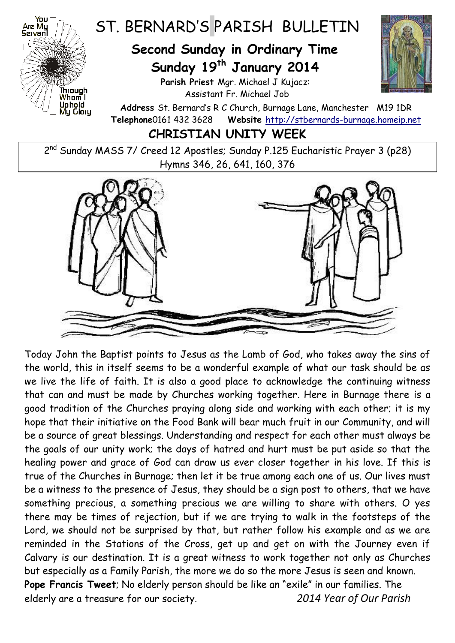

## ST. BERNARD'S PARISH BULLETIN

## **Second Sunday in Ordinary Time Sunday 19 th January 2014**

**Parish Priest** Mgr. Michael J Kujacz: Assistant Fr. Michael Job



**Address** St. Bernard's R C Church, Burnage Lane, Manchester M19 1DR **Telephone**0161 432 3628 **Website** [http://stbernards-burnage.homeip.net](http://stbernards-burnage.homeip.net/)

**CHRISTIAN UNITY WEEK**

2<sup>nd</sup> Sunday MASS 7/ Creed 12 Apostles; Sunday P.125 Eucharistic Prayer 3 (p28) Hymns 346, 26, 641, 160, 376



Today John the Baptist points to Jesus as the Lamb of God, who takes away the sins of the world, this in itself seems to be a wonderful example of what our task should be as we live the life of faith. It is also a good place to acknowledge the continuing witness that can and must be made by Churches working together. Here in Burnage there is a good tradition of the Churches praying along side and working with each other; it is my hope that their initiative on the Food Bank will bear much fruit in our Community, and will be a source of great blessings. Understanding and respect for each other must always be the goals of our unity work; the days of hatred and hurt must be put aside so that the healing power and grace of God can draw us ever closer together in his love. If this is true of the Churches in Burnage; then let it be true among each one of us. Our lives must be a witness to the presence of Jesus, they should be a sign post to others, that we have something precious, a something precious we are willing to share with others. O yes there may be times of rejection, but if we are trying to walk in the footsteps of the Lord, we should not be surprised by that, but rather follow his example and as we are reminded in the Stations of the Cross, get up and get on with the Journey even if Calvary is our destination. It is a great witness to work together not only as Churches but especially as a Family Parish, the more we do so the more Jesus is seen and known. **Pope Francis Tweet**; No elderly person should be like an "exile" in our families. The elderly are a treasure for our society. *2014 Year of Our Parish*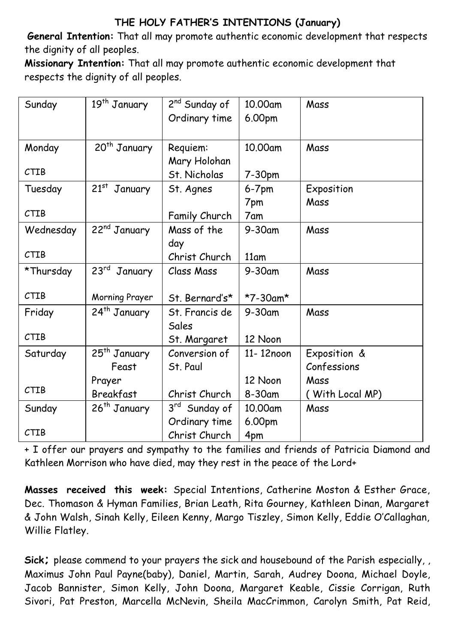## **THE HOLY FATHER'S INTENTIONS (January)**

**General Intention:** That all may promote authentic economic development that respects the dignity of all peoples.

**Missionary Intention:** That all may promote authentic economic development that respects the dignity of all peoples.

| Sunday      | 19 <sup>th</sup> January    | 2 <sup>nd</sup> Sunday of | 10.00am   | Mass            |
|-------------|-----------------------------|---------------------------|-----------|-----------------|
|             |                             | Ordinary time             | 6.00pm    |                 |
|             |                             |                           |           |                 |
| Monday      | 20 <sup>th</sup> January    | Requiem:                  | 10.00am   | Mass            |
|             |                             | Mary Holohan              |           |                 |
| <b>CTIB</b> |                             | St. Nicholas              | 7-30pm    |                 |
| Tuesday     | 21st January                | St. Agnes                 | $6-7$ pm  | Exposition      |
|             |                             |                           | 7pm       | Mass            |
| <b>CTIB</b> |                             | Family Church             | 7am       |                 |
| Wednesday   | 22 <sup>nd</sup> January    | Mass of the               | $9-30$ am | Mass            |
|             |                             | day                       |           |                 |
| <b>CTIB</b> |                             | Christ Church             | 11am      |                 |
| *Thursday   | $23^{\text{rd}}$<br>January | Class Mass                | 9-30am    | Mass            |
|             |                             |                           |           |                 |
| <b>CTIB</b> | Morning Prayer              | St. Bernard's*            | *7-30am*  |                 |
| Friday      | 24 <sup>th</sup> January    | St. Francis de            | 9-30am    | Mass            |
|             |                             | Sales                     |           |                 |
| <b>CTIB</b> |                             | St. Margaret              | 12 Noon   |                 |
| Saturday    | 25 <sup>th</sup> January    | Conversion of             | 11-12noon | Exposition &    |
|             | Feast                       | St. Paul                  |           | Confessions     |
|             | Prayer                      |                           | 12 Noon   | Mass            |
| <b>CTIB</b> | Breakfast                   | Christ Church             | 8-30am    | (With Local MP) |
| Sunday      | 26 <sup>th</sup> January    | 3rd Sunday of             | 10.00am   | Mass            |
|             |                             | Ordinary time             | 6.00pm    |                 |
| CTIB        |                             | Christ Church             | 4pm       |                 |

+ I offer our prayers and sympathy to the families and friends of Patricia Diamond and Kathleen Morrison who have died, may they rest in the peace of the Lord+

**Masses received this week:** Special Intentions, Catherine Moston & Esther Grace, Dec. Thomason & Hyman Families, Brian Leath, Rita Gourney, Kathleen Dinan, Margaret & John Walsh, Sinah Kelly, Eileen Kenny, Margo Tiszley, Simon Kelly, Eddie O'Callaghan, Willie Flatley.

**Sick;** please commend to your prayers the sick and housebound of the Parish especially, , Maximus John Paul Payne(baby), Daniel, Martin, Sarah, Audrey Doona, Michael Doyle, Jacob Bannister, Simon Kelly, John Doona, Margaret Keable, Cissie Corrigan, Ruth Sivori, Pat Preston, Marcella McNevin, Sheila MacCrimmon, Carolyn Smith, Pat Reid,